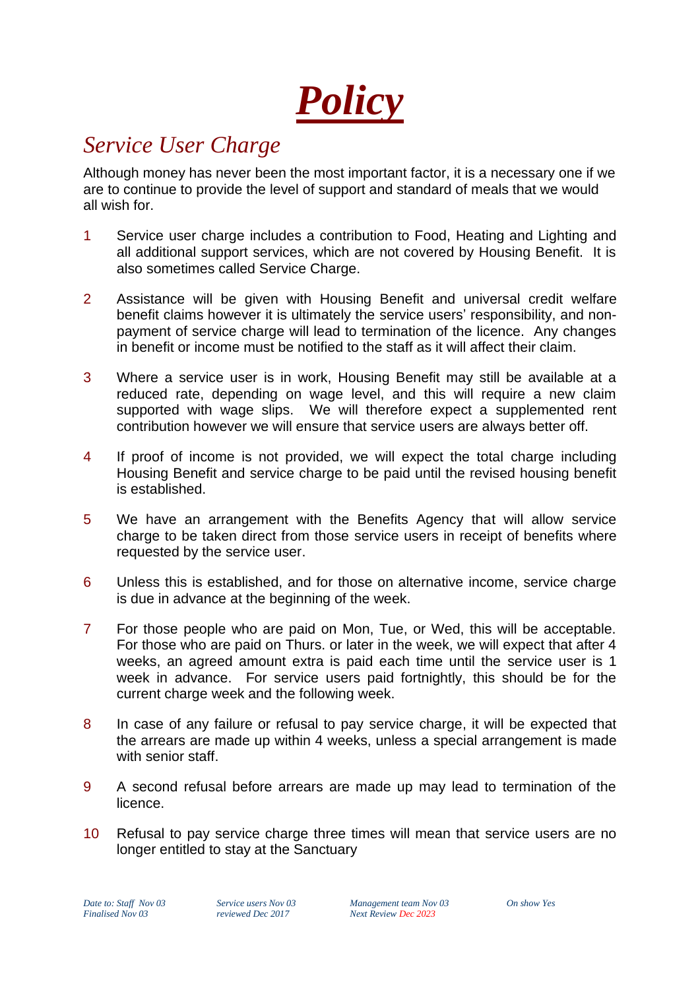*Policy*

## *Service User Charge*

Although money has never been the most important factor, it is a necessary one if we are to continue to provide the level of support and standard of meals that we would all wish for.

- 1 Service user charge includes a contribution to Food, Heating and Lighting and all additional support services, which are not covered by Housing Benefit. It is also sometimes called Service Charge.
- 2 Assistance will be given with Housing Benefit and universal credit welfare benefit claims however it is ultimately the service users' responsibility, and nonpayment of service charge will lead to termination of the licence. Any changes in benefit or income must be notified to the staff as it will affect their claim.
- 3 Where a service user is in work, Housing Benefit may still be available at a reduced rate, depending on wage level, and this will require a new claim supported with wage slips. We will therefore expect a supplemented rent contribution however we will ensure that service users are always better off.
- 4 If proof of income is not provided, we will expect the total charge including Housing Benefit and service charge to be paid until the revised housing benefit is established.
- 5 We have an arrangement with the Benefits Agency that will allow service charge to be taken direct from those service users in receipt of benefits where requested by the service user.
- 6 Unless this is established, and for those on alternative income, service charge is due in advance at the beginning of the week.
- 7 For those people who are paid on Mon, Tue, or Wed, this will be acceptable. For those who are paid on Thurs. or later in the week, we will expect that after 4 weeks, an agreed amount extra is paid each time until the service user is 1 week in advance. For service users paid fortnightly, this should be for the current charge week and the following week.
- 8 In case of any failure or refusal to pay service charge, it will be expected that the arrears are made up within 4 weeks, unless a special arrangement is made with senior staff.
- 9 A second refusal before arrears are made up may lead to termination of the licence.
- 10 Refusal to pay service charge three times will mean that service users are no longer entitled to stay at the Sanctuary

*Date to: Staff Nov 03 Service users Nov 03 Management team Nov 03 On show Yes Finalised Nov 03 reviewed Dec 2017 Next Review Dec 2023*